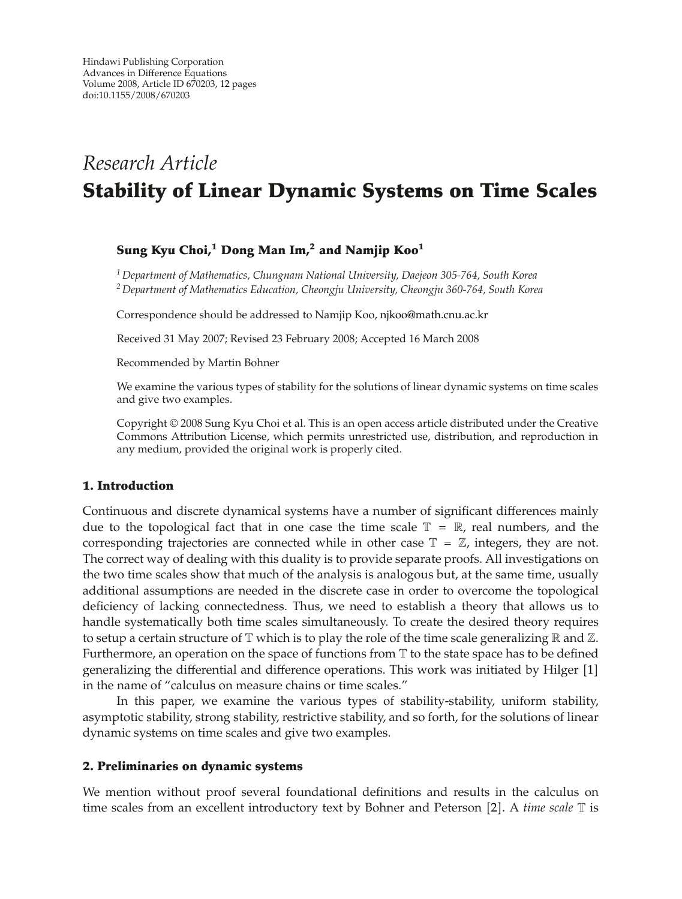# *Research Article* **Stability of Linear Dynamic Systems on Time Scales**

## **Sung Kyu Choi,1 Dong Man Im,<sup>2</sup> and Namjip Koo1**

*<sup>1</sup> Department of Mathematics, Chungnam National University, Daejeon 305-764, South Korea <sup>2</sup> Department of Mathematics Education, Cheongju University, Cheongju 360-764, South Korea*

Correspondence should be addressed to Namjip Koo, njkoo@math.cnu.ac.kr

Received 31 May 2007; Revised 23 February 2008; Accepted 16 March 2008

Recommended by Martin Bohner

We examine the various types of stability for the solutions of linear dynamic systems on time scales and give two examples.

Copyright  $©$  2008 Sung Kyu Choi et al. This is an open access article distributed under the Creative Commons Attribution License, which permits unrestricted use, distribution, and reproduction in any medium, provided the original work is properly cited.

#### **1. Introduction**

Continuous and discrete dynamical systems have a number of significant differences mainly due to the topological fact that in one case the time scale  $\mathbb{T} = \mathbb{R}$ , real numbers, and the corresponding trajectories are connected while in other case  $\mathbb{T} = \mathbb{Z}$ , integers, they are not. The correct way of dealing with this duality is to provide separate proofs. All investigations on the two time scales show that much of the analysis is analogous but, at the same time, usually additional assumptions are needed in the discrete case in order to overcome the topological deficiency of lacking connectedness. Thus, we need to establish a theory that allows us to handle systematically both time scales simultaneously. To create the desired theory requires to setup a certain structure of  $\mathbb T$  which is to play the role of the time scale generalizing  $\mathbb R$  and  $\mathbb Z$ . Furthermore, an operation on the space of functions from  $\mathbb T$  to the state space has to be defined generalizing the differential and difference operations. This work was initiated by Hilger 1 in the name of "calculus on measure chains or time scales."

In this paper, we examine the various types of stability-stability, uniform stability, asymptotic stability, strong stability, restrictive stability, and so forth, for the solutions of linear dynamic systems on time scales and give two examples.

#### **2. Preliminaries on dynamic systems**

We mention without proof several foundational definitions and results in the calculus on time scales from an excellent introductory text by Bohner and Peterson [2]. A *time scale* T is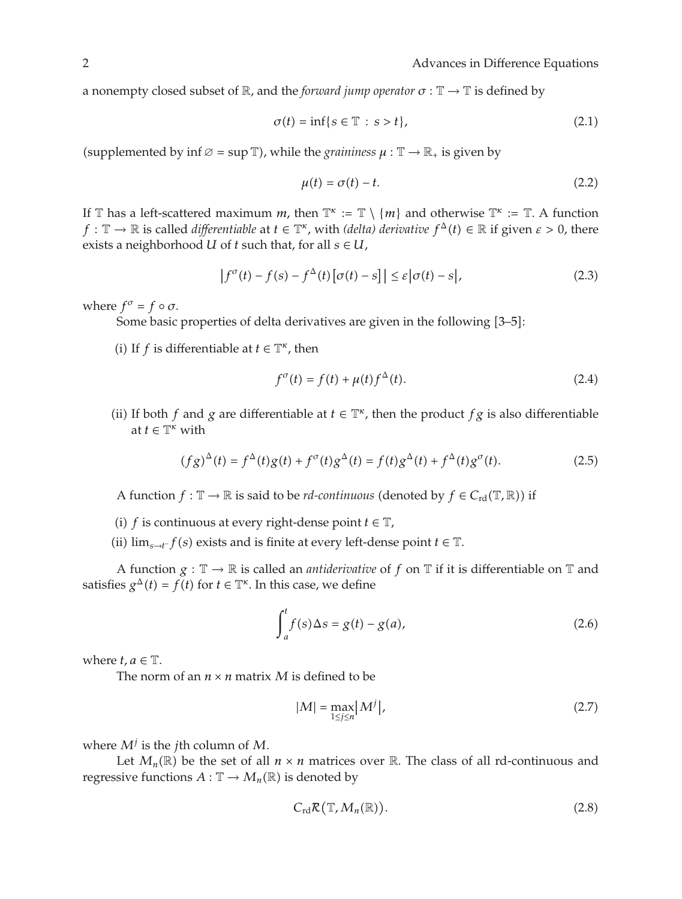a nonempty closed subset of  $\mathbb{R}$ , and the *forward jump operator*  $\sigma : \mathbb{T} \to \mathbb{T}$  is defined by

$$
\sigma(t) = \inf\{s \in \mathbb{T} : s > t\},\tag{2.1}
$$

(supplemented by inf  $\varnothing = \sup \mathbb{T}$ ), while the *graininess*  $\mu : \mathbb{T} \to \mathbb{R}$  is given by

$$
\mu(t) = \sigma(t) - t. \tag{2.2}
$$

If T has a left-scattered maximum *m*, then  $\mathbb{T}^k := \mathbb{T} \setminus \{m\}$  and otherwise  $\mathbb{T}^k := \mathbb{T}$ . A function  $f: \mathbb{T} \to \mathbb{R}$  is called *differentiable* at  $t \in \mathbb{T}^{\kappa}$ , with *(delta) derivative*  $f^{\Delta}(t) \in \mathbb{R}$  if given  $\varepsilon > 0$ , there exists a neighborhood *U* of *t* such that, for all  $s \in U$ ,

$$
\left|f^{\sigma}(t) - f(s) - f^{\Delta}(t)\left[\sigma(t) - s\right]\right| \leq \varepsilon \left|\sigma(t) - s\right|,\tag{2.3}
$$

where  $f^{\sigma} = f \circ \sigma$ .

Some basic properties of delta derivatives are given in the following [3–5]:

(i) If *f* is differentiable at  $t \in \mathbb{T}^{\kappa}$ , then

$$
f^{\sigma}(t) = f(t) + \mu(t) f^{\Delta}(t). \tag{2.4}
$$

(ii) If both *f* and *g* are differentiable at  $t \in \mathbb{T}^k$ , then the product *f g* is also differentiable at  $t \in \mathbb{T}^{\kappa}$  with

$$
(fg)^{\Delta}(t) = f^{\Delta}(t)g(t) + f^{\sigma}(t)g^{\Delta}(t) = f(t)g^{\Delta}(t) + f^{\Delta}(t)g^{\sigma}(t).
$$
 (2.5)

A function  $f : \mathbb{T} \to \mathbb{R}$  is said to be *rd-continuous* (denoted by  $f \in C_{\rm rd}(\mathbb{T}, \mathbb{R})$ ) if

- (i) *f* is continuous at every right-dense point  $t \in \mathbb{T}$ ,
- (ii)  $\lim_{s \to t^-} f(s)$  exists and is finite at every left-dense point *t* ∈  $\mathbb{T}$ .

A function  $g : \mathbb{T} \to \mathbb{R}$  is called an *antiderivative* of f on  $\mathbb{T}$  if it is differentiable on  $\mathbb{T}$  and satisfies  $g^{\Delta}(t) = f(t)$  for  $t \in \mathbb{T}^{\kappa}$ . In this case, we define

$$
\int_{a}^{t} f(s) \Delta s = g(t) - g(a), \qquad (2.6)
$$

where  $t, a \in \mathbb{T}$ .

The norm of an  $n \times n$  matrix M is defined to be

$$
|M| = \max_{1 \le j \le n} |M^j|,\tag{2.7}
$$

where  $M^j$  is the *j*th column of  $M$ .

Let  $M_n(\mathbb{R})$  be the set of all  $n \times n$  matrices over  $\mathbb{R}$ . The class of all rd-continuous and regressive functions  $A : \mathbb{T} \to M_n(\mathbb{R})$  is denoted by

$$
C_{\rm rd} \mathcal{R}(\mathbb{T}, M_n(\mathbb{R})). \tag{2.8}
$$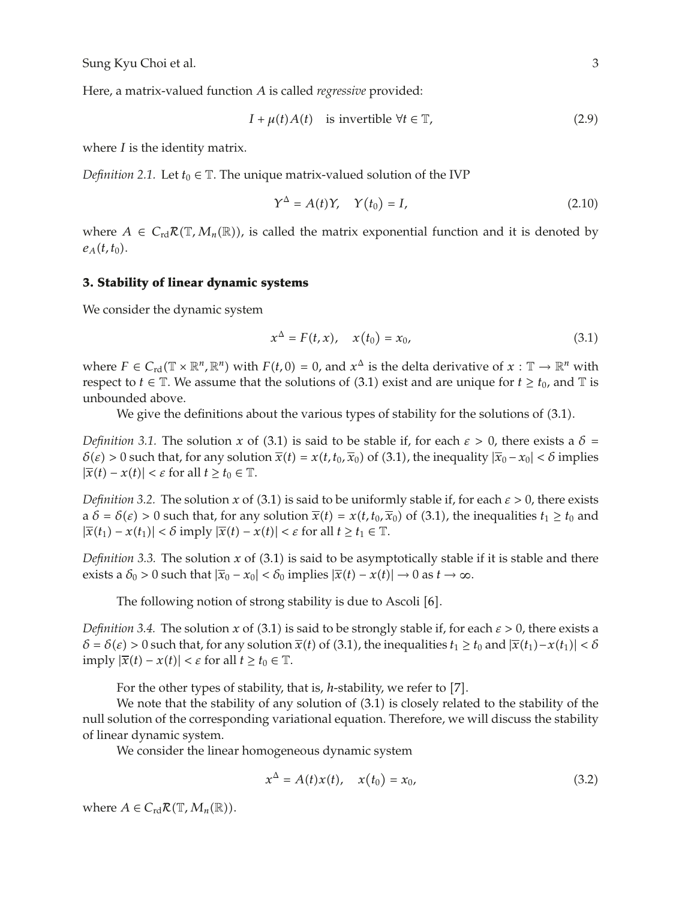Here, a matrix-valued function *A* is called *regressive* provided:

$$
I + \mu(t)A(t) \quad \text{is invertible } \forall t \in \mathbb{T}, \tag{2.9}
$$

where *I* is the identity matrix.

*Definition 2.1.* Let  $t_0 \in \mathbb{T}$ . The unique matrix-valued solution of the IVP

$$
\Upsilon^{\Delta} = A(t)\Upsilon, \quad \Upsilon(t_0) = I,\tag{2.10}
$$

where  $A \in C_{rd}R(\mathbb{T}, M_n(\mathbb{R}))$ , is called the matrix exponential function and it is denoted by  $e_{A}(t,t_{0}).$ 

## **3. Stability of linear dynamic systems**

We consider the dynamic system

$$
x^{\Delta} = F(t, x), \quad x(t_0) = x_0,
$$
 (3.1)

where  $F \in C_{\rm rd}(\mathbb{T} \times \mathbb{R}^n, \mathbb{R}^n)$  with  $F(t, 0) = 0$ , and  $x^{\Delta}$  is the delta derivative of  $x : \mathbb{T} \to \mathbb{R}^n$  with respect to *t*  $\in$  T. We assume that the solutions of (3.1) exist and are unique for *t*  $\geq t_0$ , and T is unbounded above.

We give the definitions about the various types of stability for the solutions of  $(3.1)$ .

*Definition 3.1.* The solution *x* of (3.1) is said to be stable if, for each  $\varepsilon > 0$ , there exists a  $\delta =$  $\delta(\varepsilon) > 0$  such that, for any solution  $\overline{x}(t) = x(t, t_0, \overline{x}_0)$  of (3.1), the inequality  $|\overline{x}_0 - x_0| < \delta$  implies  $|\overline{x}(t) - x(t)| < \varepsilon$  for all  $t \ge t_0 \in \mathbb{T}$ .

*Definition 3.2.* The solution *x* of (3.1) is said to be uniformly stable if, for each  $\varepsilon > 0$ , there exists  $a \delta = \delta(\epsilon) > 0$  such that, for any solution  $\overline{x}(t) = x(t, t_0, \overline{x}_0)$  of (3.1), the inequalities  $t_1 \ge t_0$  and  $|\overline{x}(t_1) - x(t_1)| < \delta$  imply  $|\overline{x}(t) - x(t)| < \varepsilon$  for all  $t \ge t_1 \in \mathbb{T}$ .

*Definition 3.3.* The solution  $x$  of (3.1) is said to be asymptotically stable if it is stable and there exists a  $\delta_0 > 0$  such that  $|\overline{x}_0 - x_0| < \delta_0$  implies  $|\overline{x}(t) - x(t)| \to 0$  as  $t \to \infty$ .

The following notion of strong stability is due to Ascoli [6].

*Definition 3.4.* The solution *x* of (3.1) is said to be strongly stable if, for each  $\epsilon > 0$ , there exists a  $\delta = \delta(\varepsilon) > 0$  such that, for any solution  $\overline{x}(t)$  of (3.1), the inequalities  $t_1 \ge t_0$  and  $|\overline{x}(t_1) - x(t_1)| < \delta$  $\text{imply } |\overline{x}(t) - x(t)| < \varepsilon \text{ for all } t \geq t_0 \in \mathbb{T}.$ 

For the other types of stability, that is, *h*-stability, we refer to [7].

We note that the stability of any solution of  $(3.1)$  is closely related to the stability of the null solution of the corresponding variational equation. Therefore, we will discuss the stability of linear dynamic system.

We consider the linear homogeneous dynamic system

$$
x^{\Delta} = A(t)x(t), \quad x(t_0) = x_0,
$$
 (3.2)

where  $A \in C_{\rm rd} \mathcal{R}(\mathbb{T}, M_n(\mathbb{R}))$ .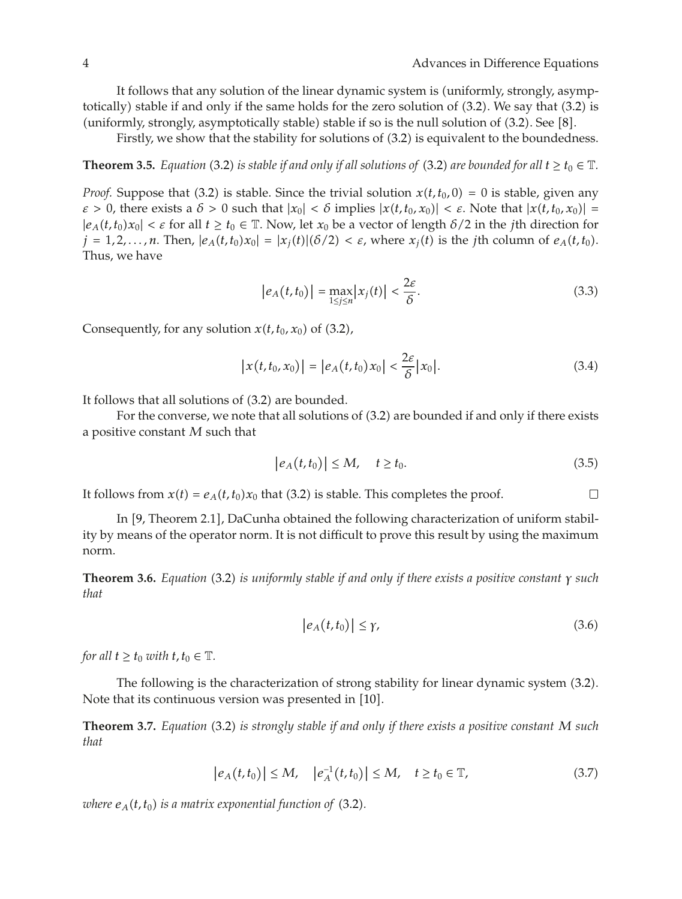It follows that any solution of the linear dynamic system is (uniformly, strongly, asymptotically) stable if and only if the same holds for the zero solution of  $(3.2)$ . We say that  $(3.2)$  is (uniformly, strongly, asymptotically stable) stable if so is the null solution of  $(3.2)$ . See  $[8]$ .

Firstly, we show that the stability for solutions of  $(3.2)$  is equivalent to the boundedness.

**Theorem 3.5.** *Equation* (3.2) *is stable if and only if all solutions of* (3.2) *are bounded for all*  $t \geq t_0 \in \mathbb{T}$ *.* 

*Proof.* Suppose that (3.2) is stable. Since the trivial solution  $x(t, t_0, 0) = 0$  is stable, given any  $\varepsilon > 0$ , there exists a  $\delta > 0$  such that  $|x_0| < \delta$  implies  $|x(t, t_0, x_0)| < \varepsilon$ . Note that  $|x(t, t_0, x_0)| =$  $|e_A(t,t_0)x_0| < \varepsilon$  for all  $t \ge t_0 \in \mathbb{T}$ . Now, let  $x_0$  be a vector of length  $\delta/2$  in the *j*th direction for  $j = 1, 2, \ldots, n$ . Then,  $|e_A(t, t_0)x_0| = |x_i(t)|(\delta/2) < \varepsilon$ , where  $x_i(t)$  is the *j*th column of  $e_A(t, t_0)$ . Thus, we have

$$
\left|e_A(t,t_0)\right| = \max_{1 \le j \le n} |x_j(t)| < \frac{2\varepsilon}{\delta}.\tag{3.3}
$$

Consequently, for any solution  $x(t, t_0, x_0)$  of (3.2),

$$
|x(t,t_0,x_0)| = |e_A(t,t_0)x_0| < \frac{2\varepsilon}{\delta} |x_0|.\tag{3.4}
$$

It follows that all solutions of  $(3.2)$  are bounded.

For the converse, we note that all solutions of  $(3.2)$  are bounded if and only if there exists a positive constant *M* such that

$$
\left|e_A(t,t_0)\right| \le M, \quad t \ge t_0. \tag{3.5}
$$

 $\overline{\phantom{a}}$ 

It follows from  $x(t) = e_A(t, t_0)x_0$  that (3.2) is stable. This completes the proof.

In [9, Theorem 2.1], DaCunha obtained the following characterization of uniform stability by means of the operator norm. It is not difficult to prove this result by using the maximum norm.

**Theorem 3.6.** *Equation* 3.2 *is uniformly stable if and only if there exists a positive constant γ such that*

$$
|e_A(t,t_0)| \le \gamma,\tag{3.6}
$$

*for all*  $t \geq t_0$  *with*  $t, t_0 \in \mathbb{T}$ *.* 

The following is the characterization of strong stability for linear dynamic system (3.2). Note that its continuous version was presented in [10].

**Theorem 3.7.** *Equation* 3.2 *is strongly stable if and only if there exists a positive constant M such that*

$$
|e_A(t,t_0)| \le M, \quad |e_A^{-1}(t,t_0)| \le M, \quad t \ge t_0 \in \mathbb{T}, \tag{3.7}
$$

*where*  $e_A(t, t_0)$  *is a matrix exponential function of* (3.2).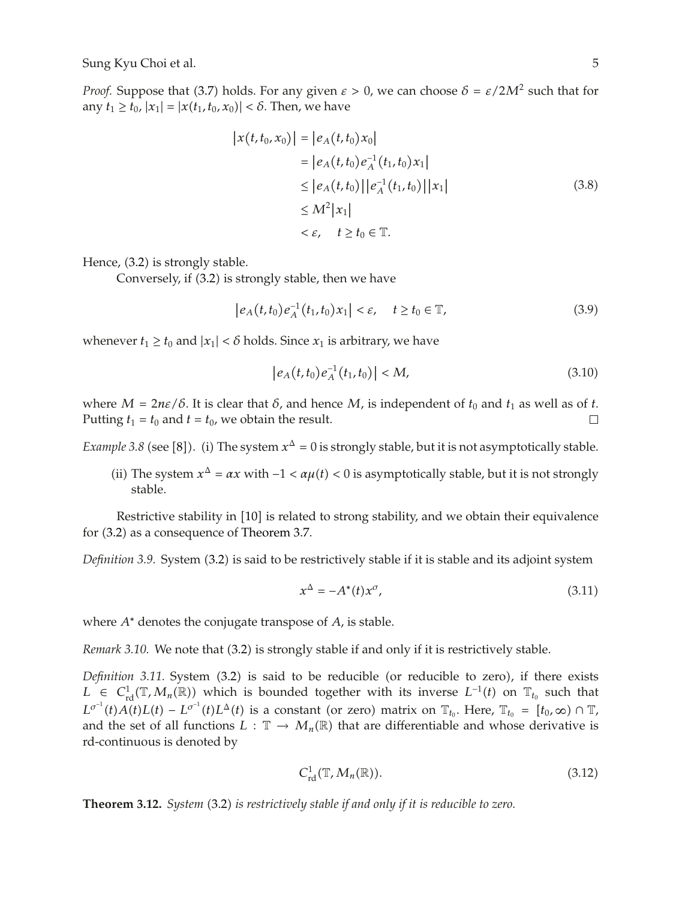*Proof.* Suppose that (3.7) holds. For any given  $\varepsilon > 0$ , we can choose  $\delta = \varepsilon / 2M^2$  such that for any  $t_1 \ge t_0$ ,  $|x_1| = |x(t_1, t_0, x_0)| < \delta$ . Then, we have

$$
|x(t, t_0, x_0)| = |e_A(t, t_0)x_0|
$$
  
=  $|e_A(t, t_0)e_A^{-1}(t_1, t_0)x_1|$   
 $\leq |e_A(t, t_0)||e_A^{-1}(t_1, t_0)||x_1|$   
 $\leq M^2|x_1|$   
 $< \varepsilon$ ,  $t \geq t_0 \in \mathbb{T}$ . (3.8)

Hence,  $(3.2)$  is strongly stable.

Conversely, if (3.2) is strongly stable, then we have

$$
|e_A(t, t_0)e_A^{-1}(t_1, t_0)x_1| < \varepsilon, \quad t \ge t_0 \in \mathbb{T}, \tag{3.9}
$$

whenever  $t_1 \geq t_0$  and  $|x_1| < \delta$  holds. Since  $x_1$  is arbitrary, we have

$$
|e_A(t,t_0)e_A^{-1}(t_1,t_0)| < M,
$$
\n(3.10)

where  $M = 2n\varepsilon/\delta$ . It is clear that  $\delta$ , and hence  $M$ , is independent of  $t_0$  and  $t_1$  as well as of  $t$ . Putting  $t_1 = t_0$  and  $t = t_0$ , we obtain the result.  $\Box$ 

*Example 3.8* (see [8]). (i) The system  $x^{\Delta} = 0$  is strongly stable, but it is not asymptotically stable.

(ii) The system  $x^Δ = αx$  with  $-1 < αμ(t) < 0$  is asymptotically stable, but it is not strongly stable.

Restrictive stability in  $[10]$  is related to strong stability, and we obtain their equivalence for  $(3.2)$  as a consequence of Theorem 3.7.

*Definition 3.9.* System (3.2) is said to be restrictively stable if it is stable and its adjoint system

$$
x^{\Delta} = -A^*(t)x^{\sigma}, \tag{3.11}
$$

where *A*<sup>∗</sup> denotes the conjugate transpose of *A*, is stable.

*Remark 3.10.* We note that (3.2) is strongly stable if and only if it is restrictively stable.

*Definition 3.11.* System (3.2) is said to be reducible (or reducible to zero), if there exists *L* ∈  $C^1_{\text{rd}}(\mathbb{T},M_n(\mathbb{R}))$  which is bounded together with its inverse  $L^{-1}(t)$  on  $\mathbb{T}_{t_0}$  such that  $L^{\sigma^{-1}}(t)A(t)L(t) - L^{\sigma^{-1}}(t)L^{\Delta}(t)$  is a constant (or zero) matrix on  $\mathbb{T}_{t_0}$ . Here,  $\mathbb{T}_{t_0} = [t_0, \infty) \cap \mathbb{T}$ , and the set of all functions  $L : \mathbb{T} \to M_n(\mathbb{R})$  that are differentiable and whose derivative is rd-continuous is denoted by

$$
C_{\rm rd}^1(\mathbb{T}, M_n(\mathbb{R})). \tag{3.12}
$$

**Theorem 3.12.** *System* 3.2 *is restrictively stable if and only if it is reducible to zero.*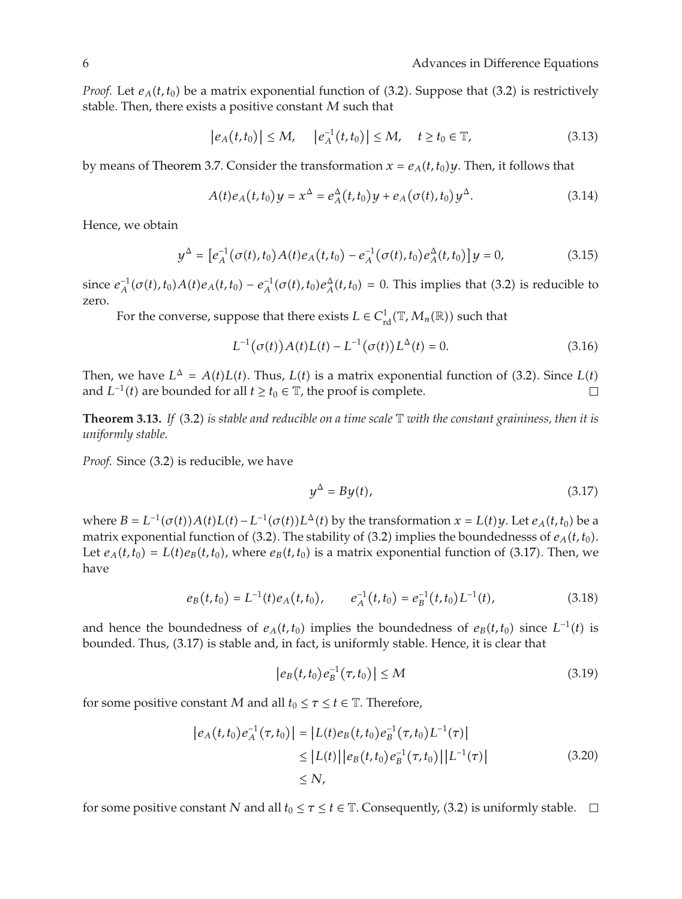*Proof.* Let  $e_A(t,t_0)$  be a matrix exponential function of (3.2). Suppose that (3.2) is restrictively stable. Then, there exists a positive constant *M* such that

$$
|e_A(t,t_0)| \le M, \quad |e_A^{-1}(t,t_0)| \le M, \quad t \ge t_0 \in \mathbb{T}, \tag{3.13}
$$

by means of Theorem 3.7. Consider the transformation  $x = e_A(t, t_0)y$ . Then, it follows that

$$
A(t)e_A(t,t_0)y = x^{\Delta} = e_A^{\Delta}(t,t_0)y + e_A(\sigma(t),t_0)y^{\Delta}.
$$
 (3.14)

Hence, we obtain

$$
y^{\Delta} = \left[ e^{-1}_{A}(\sigma(t), t_{0}) A(t) e_{A}(t, t_{0}) - e^{-1}_{A}(\sigma(t), t_{0}) e^{A}_{A}(t, t_{0}) \right] y = 0, \qquad (3.15)
$$

since  $e_A^{-1}(\sigma(t), t_0)A(t)e_A(t, t_0) - e_A^{-1}(\sigma(t), t_0)e_A^{\Delta}(t, t_0) = 0$ . This implies that (3.2) is reducible to zero.

For the converse, suppose that there exists  $L \in C^1_{\rm rd}(\mathbb{T}, M_n(\mathbb{R}))$  such that

$$
L^{-1}(\sigma(t))A(t)L(t) - L^{-1}(\sigma(t))L^{\Delta}(t) = 0.
$$
\n(3.16)

Then, we have  $L^{\Delta} = A(t)L(t)$ . Thus,  $L(t)$  is a matrix exponential function of (3.2). Since  $L(t)$ and *L*<sup>−1</sup>(*t*) are bounded for all *t* ≥ *t*<sub>0</sub> ∈  $\mathbb{T}$ , the proof is complete.  $\Box$ 

**Theorem 3.13.** *If* (3.2) *is stable and reducible on a time scale* T *with the constant graininess, then it is uniformly stable.*

*Proof.* Since (3.2) is reducible, we have

$$
y^{\Delta} = By(t), \tag{3.17}
$$

where  $B = L^{-1}(\sigma(t))A(t)L(t) - L^{-1}(\sigma(t))L^{\Delta}(t)$  by the transformation  $x = L(t)y$ . Let  $e_A(t, t_0)$  be a matrix exponential function of (3.2). The stability of (3.2) implies the boundednesss of  $e_A(t, t_0)$ . Let  $e_A(t,t_0) = L(t)e_B(t,t_0)$ , where  $e_B(t,t_0)$  is a matrix exponential function of (3.17). Then, we have

$$
e_B(t,t_0) = L^{-1}(t)e_A(t,t_0), \qquad e_A^{-1}(t,t_0) = e_B^{-1}(t,t_0)L^{-1}(t), \qquad (3.18)
$$

and hence the boundedness of  $e_A(t,t_0)$  implies the boundedness of  $e_B(t,t_0)$  since  $L^{-1}(t)$  is bounded. Thus, 3.17 is stable and, in fact, is uniformly stable. Hence, it is clear that

$$
|e_B(t, t_0)e_B^{-1}(\tau, t_0)| \le M \tag{3.19}
$$

for some positive constant *M* and all  $t_0 \leq \tau \leq t \in \mathbb{T}$ . Therefore,

$$
|e_A(t,t_0)e_A^{-1}(\tau,t_0)| = |L(t)e_B(t,t_0)e_B^{-1}(\tau,t_0)L^{-1}(\tau)|
$$
  
\n
$$
\leq |L(t)||e_B(t,t_0)e_B^{-1}(\tau,t_0)||L^{-1}(\tau)|
$$
  
\n
$$
\leq N,
$$
\n(3.20)

for some positive constant *N* and all  $t_0 \leq \tau \leq t \in \mathbb{T}$ . Consequently, (3.2) is uniformly stable.  $\Box$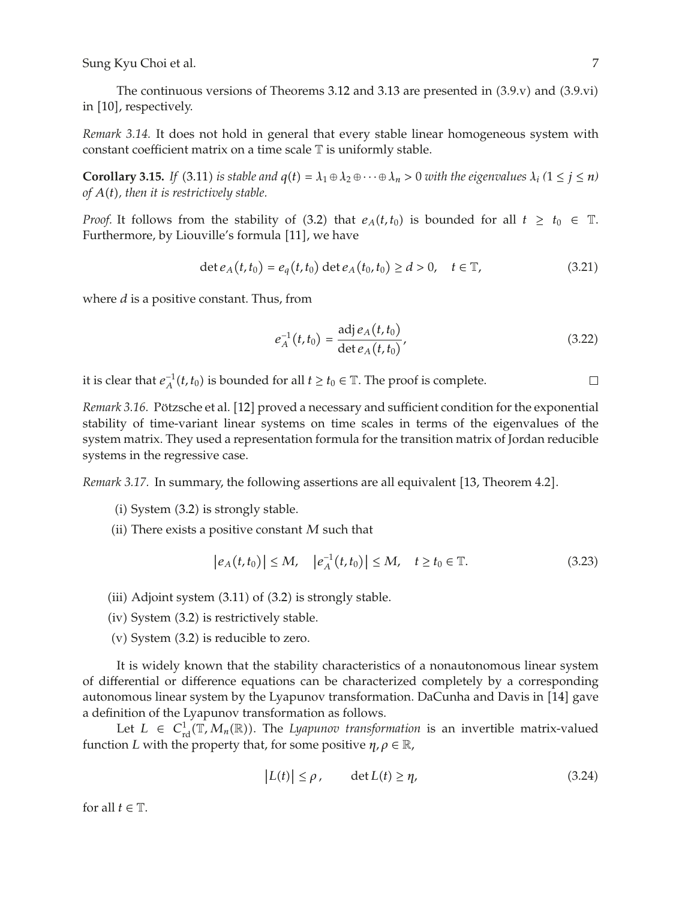The continuous versions of Theorems 3.12 and 3.13 are presented in  $(3.9.v)$  and  $(3.9.vi)$ in [10], respectively.

*Remark 3.14.* It does not hold in general that every stable linear homogeneous system with constant coefficient matrix on a time scale T is uniformly stable.

**Corollary 3.15.** *If* (3.11) *is stable and*  $q(t) = \lambda_1 \oplus \lambda_2 \oplus \cdots \oplus \lambda_n > 0$  *with the eigenvalues*  $\lambda_i$  ( $1 \leq j \leq n$ ) *of At, then it is restrictively stable.*

*Proof.* It follows from the stability of (3.2) that  $e_A(t,t_0)$  is bounded for all  $t \geq t_0 \in \mathbb{T}$ . Furthermore, by Liouville's formula [11], we have

$$
\det e_A(t, t_0) = e_q(t, t_0) \det e_A(t_0, t_0) \ge d > 0, \quad t \in \mathbb{T},
$$
\n(3.21)

where *d* is a positive constant. Thus, from

$$
e_A^{-1}(t, t_0) = \frac{\text{adj } e_A(t, t_0)}{\text{det } e_A(t, t_0)},
$$
\n(3.22)

it is clear that  $e_A^{-1}(t,t_0)$  is bounded for all  $t \ge t_0 \in \mathbb{T}$ . The proof is complete.  $\Box$ 

*Remark 3.16.* Pötzsche et al. [12] proved a necessary and sufficient condition for the exponential stability of time-variant linear systems on time scales in terms of the eigenvalues of the system matrix. They used a representation formula for the transition matrix of Jordan reducible systems in the regressive case.

*Remark 3.17.* In summary, the following assertions are all equivalent [13, Theorem 4.2].

- $(i)$  System  $(3.2)$  is strongly stable.
- (ii) There exists a positive constant  $M$  such that

$$
|e_A(t, t_0)| \le M, \quad |e_A^{-1}(t, t_0)| \le M, \quad t \ge t_0 \in \mathbb{T}.
$$
 (3.23)

- (iii) Adjoint system  $(3.11)$  of  $(3.2)$  is strongly stable.
- $(iv)$  System  $(3.2)$  is restrictively stable.
- $(v)$  System  $(3.2)$  is reducible to zero.

It is widely known that the stability characteristics of a nonautonomous linear system of differential or difference equations can be characterized completely by a corresponding autonomous linear system by the Lyapunov transformation. DaCunha and Davis in [14] gave a definition of the Lyapunov transformation as follows.

Let  $L \in C^1_{\rm rd}(\mathbb{T},M_n(\mathbb{R}))$ . The *Lyapunov transformation* is an invertible matrix-valued function *L* with the property that, for some positive  $\eta$ ,  $\rho \in \mathbb{R}$ ,

$$
|L(t)| \le \rho, \qquad \det L(t) \ge \eta,
$$
\n(3.24)

for all  $t \in \mathbb{T}$ .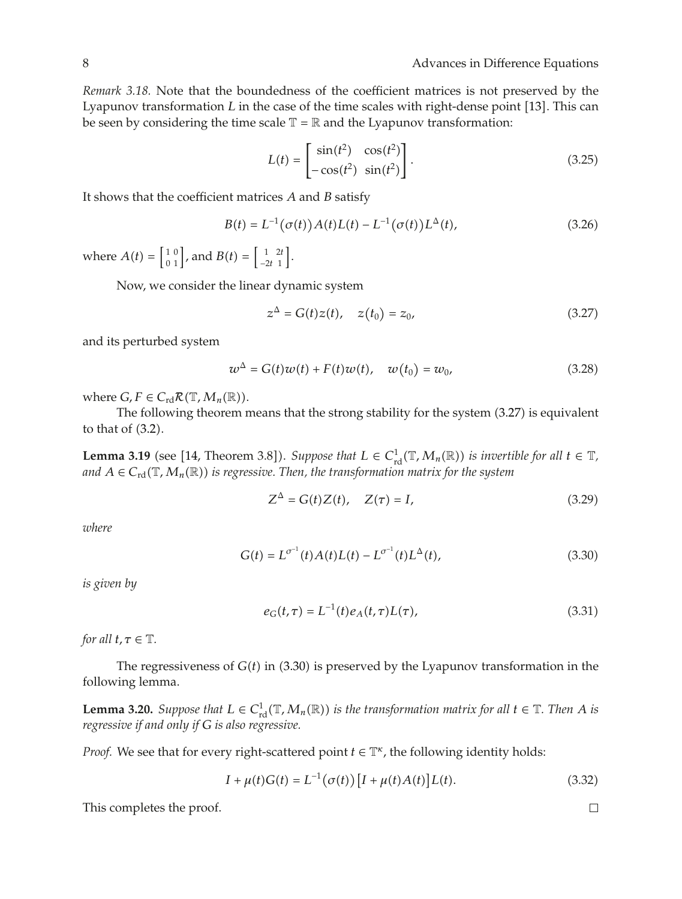*Remark 3.18.* Note that the boundedness of the coefficient matrices is not preserved by the Lyapunov transformation *L* in the case of the time scales with right-dense point [13]. This can be seen by considering the time scale  $\mathbb{T} = \mathbb{R}$  and the Lyapunov transformation:

$$
L(t) = \begin{bmatrix} \sin(t^2) & \cos(t^2) \\ -\cos(t^2) & \sin(t^2) \end{bmatrix}.
$$
 (3.25)

It shows that the coefficient matrices *A* and *B* satisfy

$$
B(t) = L^{-1}(\sigma(t))A(t)L(t) - L^{-1}(\sigma(t))L^{\Delta}(t),
$$
\n(3.26)

where  $A(t) = \begin{bmatrix} 1 & 0 \\ 0 & 1 \end{bmatrix}$ , and  $B(t) = \begin{bmatrix} 1 & 2t \\ -2t & 1 \end{bmatrix}$ −2*t* 1 .

Now, we consider the linear dynamic system

$$
z^{\Delta} = G(t)z(t), \quad z(t_0) = z_0,
$$
\n(3.27)

and its perturbed system

$$
w^{\Delta} = G(t)w(t) + F(t)w(t), \quad w(t_0) = w_0,
$$
\n(3.28)

where  $G, F \in C_{\rm rd} \mathcal{R}(\mathbb{T}, M_n(\mathbb{R}))$ .

The following theorem means that the strong stability for the system  $(3.27)$  is equivalent to that of  $(3.2)$ .

**Lemma 3.19** (see [14, Theorem 3.8]). *Suppose that*  $L \in C^1_{\text{rd}}(\mathbb{T},M_n(\mathbb{R}))$  *is invertible for all*  $t \in \mathbb{T}$ *, and*  $A \in C_{\rm rd}(\mathbb{T}, M_n(\mathbb{R}))$  *is regressive. Then, the transformation matrix for the system* 

$$
Z^{\Delta} = G(t)Z(t), \quad Z(\tau) = I,
$$
\n(3.29)

*where*

$$
G(t) = L^{\sigma^{-1}}(t)A(t)L(t) - L^{\sigma^{-1}}(t)L^{\Delta}(t),
$$
\n(3.30)

*is given by*

$$
e_G(t,\tau) = L^{-1}(t)e_A(t,\tau)L(\tau),
$$
\n(3.31)

*for all*  $t, \tau \in \mathbb{T}$ *.* 

The regressiveness of  $G(t)$  in  $(3.30)$  is preserved by the Lyapunov transformation in the following lemma.

**Lemma 3.20.** *Suppose that*  $L \in C^1_{rd}(\mathbb{T},M_n(\mathbb{R}))$  *is the transformation matrix for all*  $t \in \mathbb{T}$ *. Then A is regressive if and only if G is also regressive.*

*Proof.* We see that for every right-scattered point  $t \in \mathbb{T}^{\kappa}$ , the following identity holds:

$$
I + \mu(t)G(t) = L^{-1}(\sigma(t)) [I + \mu(t)A(t)]L(t).
$$
 (3.32)

This completes the proof.

 $\Box$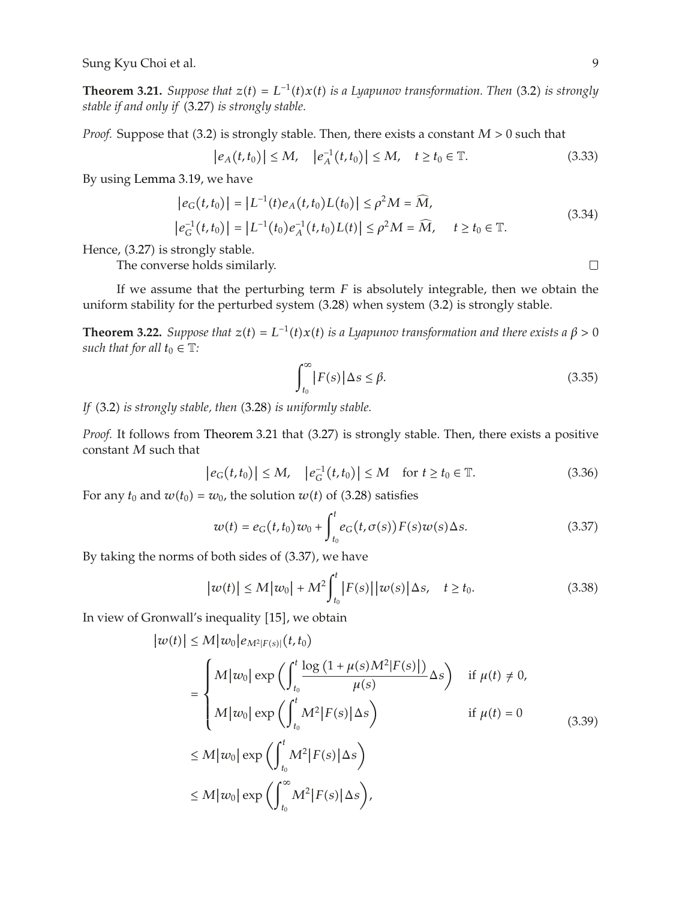**Theorem 3.21.** *Suppose that*  $z(t) = L^{-1}(t)x(t)$  *is a Lyapunov transformation. Then* (3.2) *is strongly stable if and only if* 3.27 *is strongly stable.*

*Proof.* Suppose that (3.2) is strongly stable. Then, there exists a constant  $M > 0$  such that

$$
|e_A(t, t_0)| \le M, \quad |e_A^{-1}(t, t_0)| \le M, \quad t \ge t_0 \in \mathbb{T}.
$$
 (3.33)

By using Lemma 3.19, we have

$$
|e_G(t, t_0)| = |L^{-1}(t)e_A(t, t_0)L(t_0)| \le \rho^2 M = \widehat{M},
$$
  
\n
$$
|e_G^{-1}(t, t_0)| = |L^{-1}(t_0)e_A^{-1}(t, t_0)L(t)| \le \rho^2 M = \widehat{M}, \quad t \ge t_0 \in \mathbb{T}.
$$
\n(3.34)

Hence,  $(3.27)$  is strongly stable.

The converse holds similarly.

If we assume that the perturbing term *F* is absolutely integrable, then we obtain the uniform stability for the perturbed system (3.28) when system (3.2) is strongly stable.

**Theorem 3.22.** *Suppose that*  $z(t) = L^{-1}(t)x(t)$  *is a Lyapunov transformation and there exists a*  $\beta > 0$ *such that for all*  $t_0 \in \mathbb{T}$ *:* 

$$
\int_{t_0}^{\infty} |F(s)| \Delta s \le \beta. \tag{3.35}
$$

If (3.2) *is strongly stable, then* (3.28) *is uniformly stable*.

*Proof.* It follows from Theorem 3.21 that (3.27) is strongly stable. Then, there exists a positive constant *M* such that

$$
|e_G(t, t_0)| \le M, \quad |e_G^{-1}(t, t_0)| \le M \quad \text{for } t \ge t_0 \in \mathbb{T}.
$$
 (3.36)

For any  $t_0$  and  $w(t_0) = w_0$ , the solution  $w(t)$  of (3.28) satisfies

$$
w(t) = e_G(t, t_0)w_0 + \int_{t_0}^t e_G(t, \sigma(s))F(s)w(s)\Delta s.
$$
 (3.37)

By taking the norms of both sides of  $(3.37)$ , we have

$$
|w(t)| \le M|w_0| + M^2 \int_{t_0}^t |F(s)||w(s)| \Delta s, \quad t \ge t_0.
$$
 (3.38)

In view of Gronwall's inequality [15], we obtain

$$
|w(t)| \le M|w_0|e_{M^2|F(s)|}(t,t_0)
$$
  
\n
$$
= \begin{cases} M|w_0| \exp\left(\int_{t_0}^t \frac{\log(1+\mu(s)M^2|F(s)|)}{\mu(s)} \Delta s\right) & \text{if } \mu(t) \ne 0, \\ M|w_0| \exp\left(\int_{t_0}^t M^2|F(s)| \Delta s\right) & \text{if } \mu(t) = 0 \end{cases}
$$
  
\n
$$
\le M|w_0| \exp\left(\int_{t_0}^t M^2|F(s)| \Delta s\right)
$$
  
\n
$$
\le M|w_0| \exp\left(\int_{t_0}^\infty M^2|F(s)| \Delta s\right),
$$
\n(3.39)

 $\Box$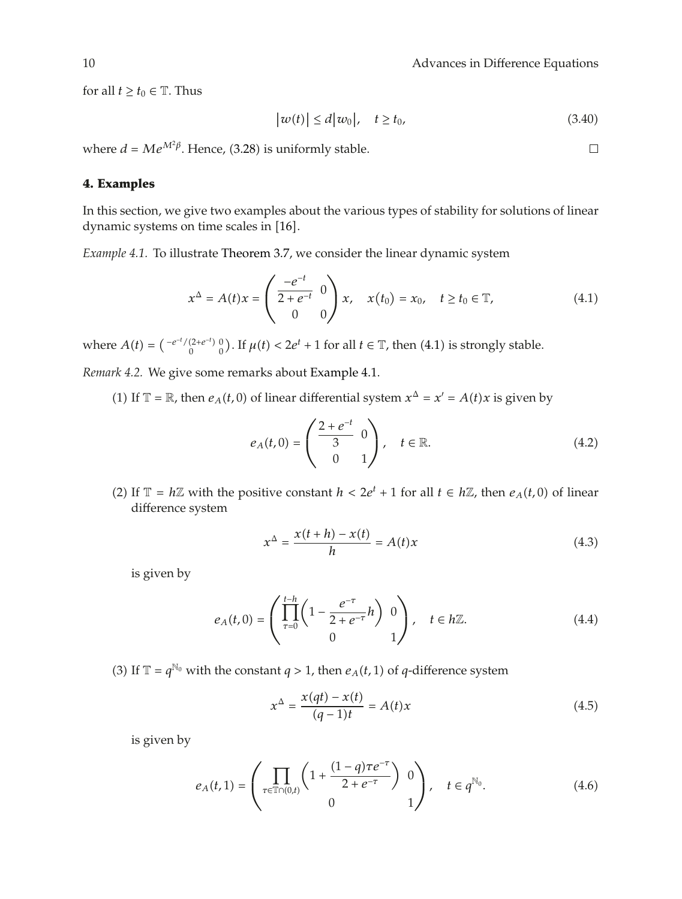for all  $t \ge t_0 \in \mathbb{T}$ . Thus

$$
|w(t)| \le d|w_0|, \quad t \ge t_0,
$$
\n
$$
(3.40)
$$

where  $d = Me^{M^2\beta}$ . Hence, (3.28) is uniformly stable.

## **4. Examples**

In this section, we give two examples about the various types of stability for solutions of linear dynamic systems on time scales in [16].

*Example 4.1.* To illustrate Theorem 3.7, we consider the linear dynamic system

$$
x^{\Delta} = A(t)x = \begin{pmatrix} \frac{-e^{-t}}{2+e^{-t}} & 0\\ 0 & 0 \end{pmatrix} x, \quad x(t_0) = x_0, \quad t \ge t_0 \in \mathbb{T}, \tag{4.1}
$$

where  $A(t) = \begin{pmatrix} -e^{-t}/(2+e^{-t}) & 0 \\ 0 & 0 \end{pmatrix}$  $\binom{(2+e^{-t})}{0}$ . If  $\mu(t) < 2e^{t} + 1$  for all  $t \in \mathbb{T}$ , then  $(4.1)$  is strongly stable.

*Remark 4.2.* We give some remarks about Example 4.1.

(1) If  $\mathbb{T} = \mathbb{R}$ , then  $e_A(t,0)$  of linear differential system  $x^{\Delta} = x' = A(t)x$  is given by

$$
e_A(t,0) = \begin{pmatrix} \frac{2+e^{-t}}{3} & 0\\ 0 & 1 \end{pmatrix}, \quad t \in \mathbb{R}.
$$
 (4.2)

(2) If  $\mathbb{T} = h\mathbb{Z}$  with the positive constant  $h < 2e^t + 1$  for all  $t \in h\mathbb{Z}$ , then  $e_A(t,0)$  of linear difference system

$$
x^{\Delta} = \frac{x(t+h) - x(t)}{h} = A(t)x \tag{4.3}
$$

is given by

$$
e_A(t,0) = \left(\prod_{\tau=0}^{t-h} \left(1 - \frac{e^{-\tau}}{2 + e^{-\tau}}h\right) 0\right), \quad t \in h\mathbb{Z}.
$$
 (4.4)

(3) If  $\mathbb{T} = q^{\mathbb{N}_0}$  with the constant  $q > 1$ , then  $e_A(t, 1)$  of  $q$ -difference system

$$
x^{\Delta} = \frac{x(qt) - x(t)}{(q - 1)t} = A(t)x
$$
\n(4.5)

is given by

$$
e_A(t,1) = \left(\prod_{\tau \in \mathbb{T} \cap (0,t)} \left(1 + \frac{(1-q)\tau e^{-\tau}}{2 + e^{-\tau}}\right) 0\right), \quad t \in q^{\mathbb{N}_0}.
$$
 (4.6)

 $\Box$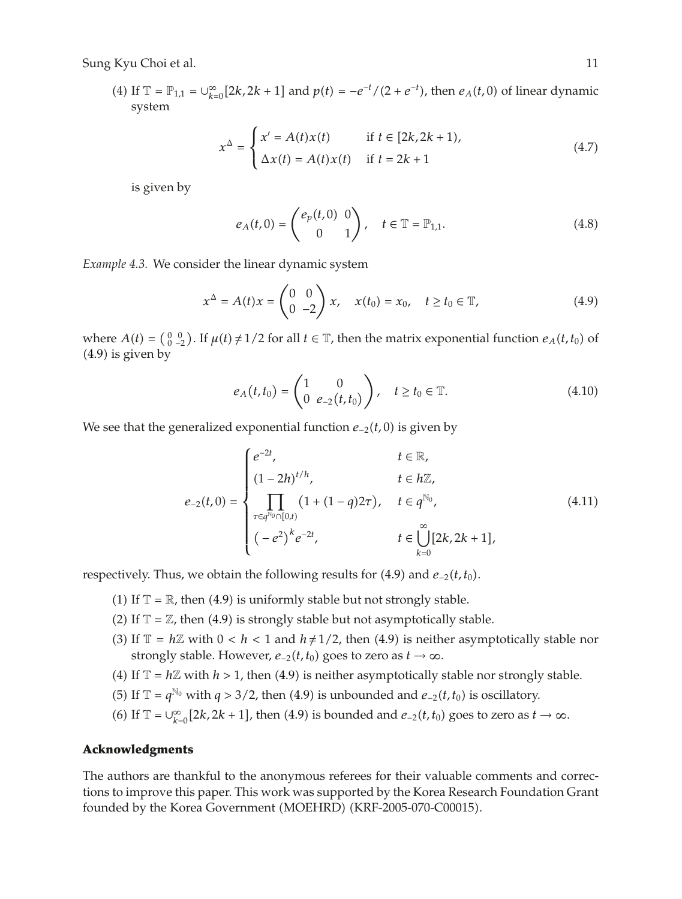(4) If  $\mathbb{T} = \mathbb{P}_{1,1} = \bigcup_{k=0}^{\infty} [2k, 2k+1]$  and  $p(t) = -e^{-t}/(2 + e^{-t})$ , then  $e_A(t, 0)$  of linear dynamic system

$$
x^{\Delta} = \begin{cases} x' = A(t)x(t) & \text{if } t \in [2k, 2k+1), \\ \Delta x(t) = A(t)x(t) & \text{if } t = 2k+1 \end{cases}
$$
(4.7)

is given by

$$
e_A(t,0) = \begin{pmatrix} e_p(t,0) & 0 \\ 0 & 1 \end{pmatrix}, \quad t \in \mathbb{T} = \mathbb{P}_{1,1}.
$$
 (4.8)

*Example 4.3.* We consider the linear dynamic system

$$
x^{\Delta} = A(t)x = \begin{pmatrix} 0 & 0 \\ 0 & -2 \end{pmatrix} x, \quad x(t_0) = x_0, \quad t \ge t_0 \in \mathbb{T}, \tag{4.9}
$$

where  $A(t) = \begin{pmatrix} 0 & 0 \\ 0 & -2 \end{pmatrix}$ . If  $\mu(t) \neq 1/2$  for all  $t \in \mathbb{T}$ , then the matrix exponential function  $e_A(t, t_0)$  of  $(4.9)$  is given by

$$
e_A(t,t_0) = \begin{pmatrix} 1 & 0 \\ 0 & e_{-2}(t,t_0) \end{pmatrix}, \quad t \ge t_0 \in \mathbb{T}.
$$
 (4.10)

We see that the generalized exponential function *e*<sub>−2</sub>(*t*, 0) is given by

$$
e_{-2}(t,0) = \begin{cases} e^{-2t}, & t \in \mathbb{R}, \\ (1-2h)^{t/h}, & t \in h\mathbb{Z}, \\ \prod_{\tau \in q^{\mathbb{N}_0} \cap [0,t)} (1+(1-q)2\tau), & t \in q^{\mathbb{N}_0}, \\ (-e^2)^k e^{-2t}, & t \in \bigcup_{k=0}^{\infty} [2k, 2k+1], \end{cases}
$$
(4.11)

respectively. Thus, we obtain the following results for (4.9) and *e*<sub>−2</sub>*(t, t*<sub>0</sub>).

- (1) If  $\mathbb{T} = \mathbb{R}$ , then (4.9) is uniformly stable but not strongly stable.
- (2) If  $\mathbb{T} = \mathbb{Z}$ , then (4.9) is strongly stable but not asymptotically stable.
- (3) If  $\mathbb{T} = h\mathbb{Z}$  with  $0 < h < 1$  and  $h \neq 1/2$ , then (4.9) is neither asymptotically stable nor strongly stable. However,  $e_{-2}(t, t_0)$  goes to zero as  $t \to \infty$ .
- (4) If  $\mathbb{T} = h\mathbb{Z}$  with  $h > 1$ , then (4.9) is neither asymptotically stable nor strongly stable.
- (5) If  $\mathbb{T} = q^{\mathbb{N}_0}$  with *q* > 3/2, then (4.9) is unbounded and *e*−2(*t*, *t*<sub>0</sub>) is oscillatory.
- (6) If  $\mathbb{T} = \bigcup_{k=0}^{\infty} [2k, 2k+1]$ , then (4.9) is bounded and  $e_{-2}(t, t_0)$  goes to zero as  $t \to \infty$ .

#### **Acknowledgments**

The authors are thankful to the anonymous referees for their valuable comments and corrections to improve this paper. This work was supported by the Korea Research Foundation Grant founded by the Korea Government (MOEHRD) (KRF-2005-070-C00015).